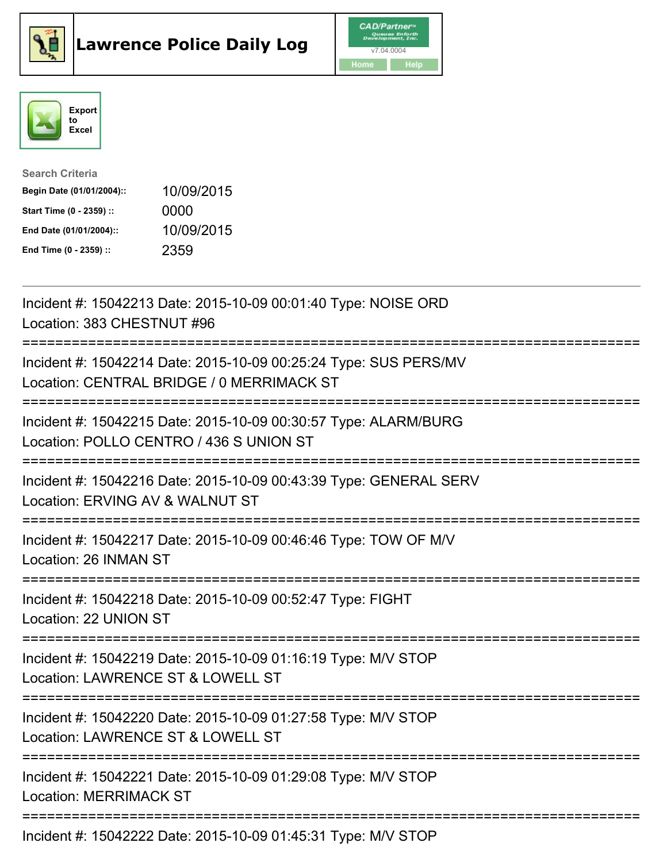





| <b>Search Criteria</b>    |            |
|---------------------------|------------|
| Begin Date (01/01/2004):: | 10/09/2015 |
| Start Time (0 - 2359) ::  | 0000       |
| End Date (01/01/2004)::   | 10/09/2015 |
| End Time (0 - 2359) ::    | 2359       |

| Incident #: 15042213 Date: 2015-10-09 00:01:40 Type: NOISE ORD<br>Location: 383 CHESTNUT #96                                       |
|------------------------------------------------------------------------------------------------------------------------------------|
| Incident #: 15042214 Date: 2015-10-09 00:25:24 Type: SUS PERS/MV<br>Location: CENTRAL BRIDGE / 0 MERRIMACK ST                      |
| Incident #: 15042215 Date: 2015-10-09 00:30:57 Type: ALARM/BURG<br>Location: POLLO CENTRO / 436 S UNION ST                         |
| Incident #: 15042216 Date: 2015-10-09 00:43:39 Type: GENERAL SERV<br>Location: ERVING AV & WALNUT ST<br>==========                 |
| Incident #: 15042217 Date: 2015-10-09 00:46:46 Type: TOW OF M/V<br>Location: 26 INMAN ST                                           |
| Incident #: 15042218 Date: 2015-10-09 00:52:47 Type: FIGHT<br>Location: 22 UNION ST                                                |
| Incident #: 15042219 Date: 2015-10-09 01:16:19 Type: M/V STOP<br>Location: LAWRENCE ST & LOWELL ST<br>============================ |
| Incident #: 15042220 Date: 2015-10-09 01:27:58 Type: M/V STOP<br>Location: LAWRENCE ST & LOWELL ST                                 |
| Incident #: 15042221 Date: 2015-10-09 01:29:08 Type: M/V STOP<br><b>Location: MERRIMACK ST</b>                                     |
| Incident #: 15042222 Date: 2015-10-09 01:45:31 Type: M/V STOP                                                                      |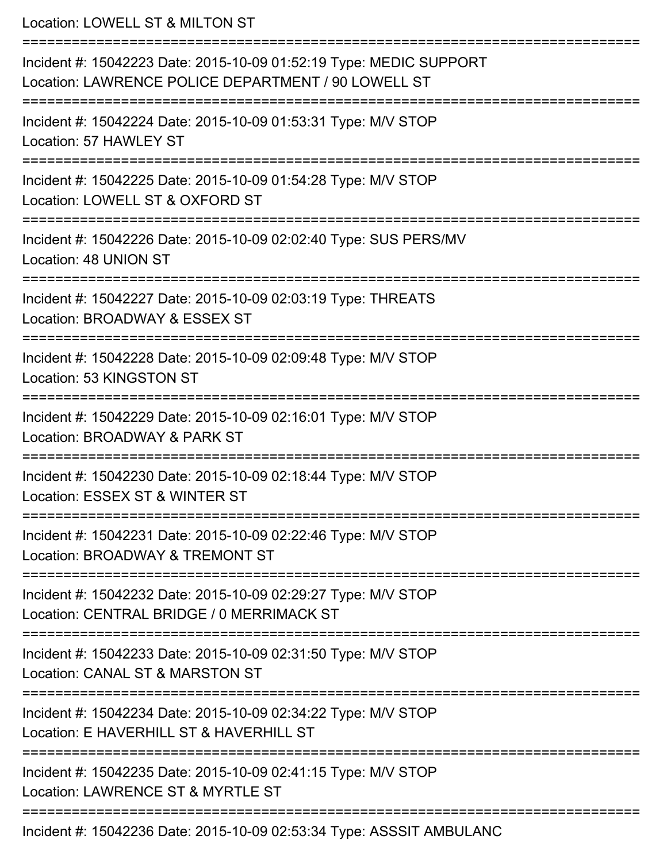Location: LOWELL ST & MILTON ST

| Incident #: 15042223 Date: 2015-10-09 01:52:19 Type: MEDIC SUPPORT<br>Location: LAWRENCE POLICE DEPARTMENT / 90 LOWELL ST |
|---------------------------------------------------------------------------------------------------------------------------|
| Incident #: 15042224 Date: 2015-10-09 01:53:31 Type: M/V STOP<br>Location: 57 HAWLEY ST                                   |
| Incident #: 15042225 Date: 2015-10-09 01:54:28 Type: M/V STOP<br>Location: LOWELL ST & OXFORD ST                          |
| Incident #: 15042226 Date: 2015-10-09 02:02:40 Type: SUS PERS/MV<br>Location: 48 UNION ST                                 |
| Incident #: 15042227 Date: 2015-10-09 02:03:19 Type: THREATS<br>Location: BROADWAY & ESSEX ST                             |
| Incident #: 15042228 Date: 2015-10-09 02:09:48 Type: M/V STOP<br>Location: 53 KINGSTON ST                                 |
| Incident #: 15042229 Date: 2015-10-09 02:16:01 Type: M/V STOP<br>Location: BROADWAY & PARK ST                             |
| Incident #: 15042230 Date: 2015-10-09 02:18:44 Type: M/V STOP<br>Location: ESSEX ST & WINTER ST                           |
| Incident #: 15042231 Date: 2015-10-09 02:22:46 Type: M/V STOP<br>Location: BROADWAY & TREMONT ST                          |
| Incident #: 15042232 Date: 2015-10-09 02:29:27 Type: M/V STOP<br>Location: CENTRAL BRIDGE / 0 MERRIMACK ST                |
| Incident #: 15042233 Date: 2015-10-09 02:31:50 Type: M/V STOP<br>Location: CANAL ST & MARSTON ST                          |
| Incident #: 15042234 Date: 2015-10-09 02:34:22 Type: M/V STOP<br>Location: E HAVERHILL ST & HAVERHILL ST                  |
| Incident #: 15042235 Date: 2015-10-09 02:41:15 Type: M/V STOP<br>Location: LAWRENCE ST & MYRTLE ST                        |
| Incident #: 15042236 Date: 2015-10-09 02:53:34 Type: ASSSIT AMBULANC                                                      |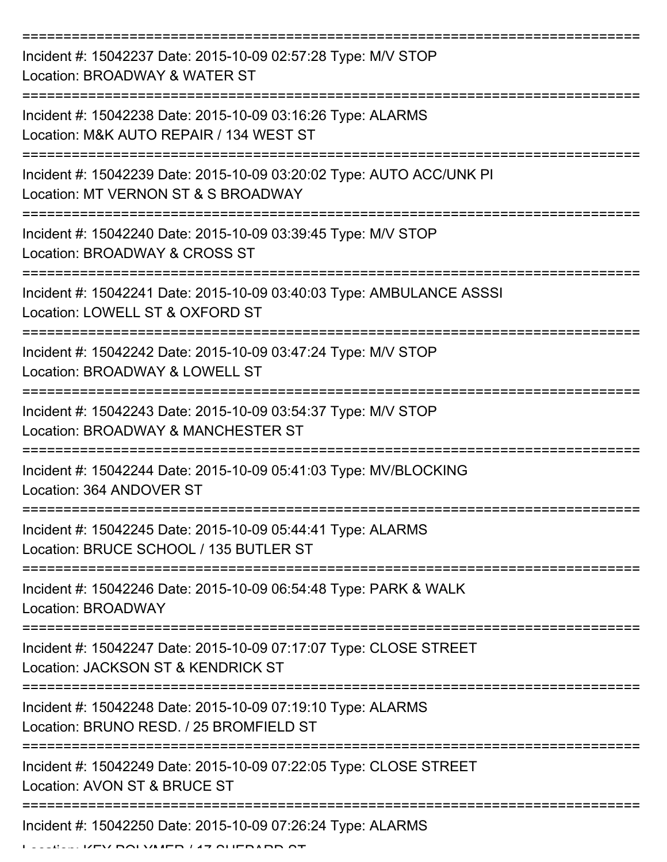| Incident #: 15042237 Date: 2015-10-09 02:57:28 Type: M/V STOP<br>Location: BROADWAY & WATER ST              |
|-------------------------------------------------------------------------------------------------------------|
| Incident #: 15042238 Date: 2015-10-09 03:16:26 Type: ALARMS<br>Location: M&K AUTO REPAIR / 134 WEST ST      |
| Incident #: 15042239 Date: 2015-10-09 03:20:02 Type: AUTO ACC/UNK PI<br>Location: MT VERNON ST & S BROADWAY |
| Incident #: 15042240 Date: 2015-10-09 03:39:45 Type: M/V STOP<br>Location: BROADWAY & CROSS ST              |
| Incident #: 15042241 Date: 2015-10-09 03:40:03 Type: AMBULANCE ASSSI<br>Location: LOWELL ST & OXFORD ST     |
| Incident #: 15042242 Date: 2015-10-09 03:47:24 Type: M/V STOP<br>Location: BROADWAY & LOWELL ST             |
| Incident #: 15042243 Date: 2015-10-09 03:54:37 Type: M/V STOP<br>Location: BROADWAY & MANCHESTER ST         |
| Incident #: 15042244 Date: 2015-10-09 05:41:03 Type: MV/BLOCKING<br>Location: 364 ANDOVER ST                |
| Incident #: 15042245 Date: 2015-10-09 05:44:41 Type: ALARMS<br>Location: BRUCE SCHOOL / 135 BUTLER ST       |
| Incident #: 15042246 Date: 2015-10-09 06:54:48 Type: PARK & WALK<br><b>Location: BROADWAY</b>               |
| Incident #: 15042247 Date: 2015-10-09 07:17:07 Type: CLOSE STREET<br>Location: JACKSON ST & KENDRICK ST     |
| Incident #: 15042248 Date: 2015-10-09 07:19:10 Type: ALARMS<br>Location: BRUNO RESD. / 25 BROMFIELD ST      |
| Incident #: 15042249 Date: 2015-10-09 07:22:05 Type: CLOSE STREET<br>Location: AVON ST & BRUCE ST           |
| Incident #: 15042250 Date: 2015-10-09 07:26:24 Type: ALARMS                                                 |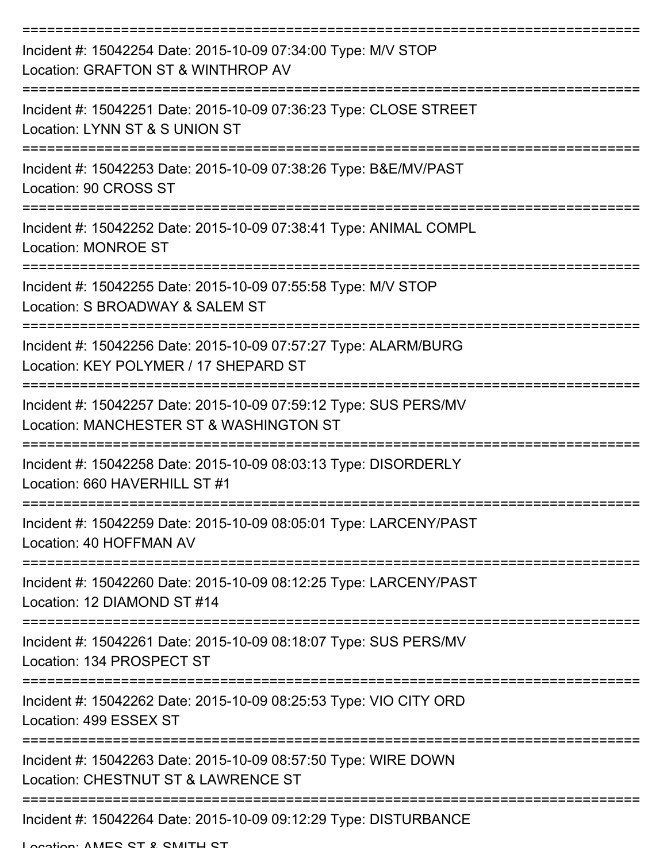| Incident #: 15042254 Date: 2015-10-09 07:34:00 Type: M/V STOP<br>Location: GRAFTON ST & WINTHROP AV                                  |
|--------------------------------------------------------------------------------------------------------------------------------------|
| Incident #: 15042251 Date: 2015-10-09 07:36:23 Type: CLOSE STREET<br>Location: LYNN ST & S UNION ST                                  |
| Incident #: 15042253 Date: 2015-10-09 07:38:26 Type: B&E/MV/PAST<br>Location: 90 CROSS ST                                            |
| Incident #: 15042252 Date: 2015-10-09 07:38:41 Type: ANIMAL COMPL<br><b>Location: MONROE ST</b>                                      |
| Incident #: 15042255 Date: 2015-10-09 07:55:58 Type: M/V STOP<br>Location: S BROADWAY & SALEM ST                                     |
| ===============<br>Incident #: 15042256 Date: 2015-10-09 07:57:27 Type: ALARM/BURG<br>Location: KEY POLYMER / 17 SHEPARD ST          |
| Incident #: 15042257 Date: 2015-10-09 07:59:12 Type: SUS PERS/MV<br>Location: MANCHESTER ST & WASHINGTON ST                          |
| Incident #: 15042258 Date: 2015-10-09 08:03:13 Type: DISORDERLY<br>Location: 660 HAVERHILL ST #1                                     |
| Incident #: 15042259 Date: 2015-10-09 08:05:01 Type: LARCENY/PAST<br>Location: 40 HOFFMAN AV                                         |
| Incident #: 15042260 Date: 2015-10-09 08:12:25 Type: LARCENY/PAST<br>Location: 12 DIAMOND ST #14                                     |
| Incident #: 15042261 Date: 2015-10-09 08:18:07 Type: SUS PERS/MV<br>Location: 134 PROSPECT ST                                        |
| -------------------------------------<br>Incident #: 15042262 Date: 2015-10-09 08:25:53 Type: VIO CITY ORD<br>Location: 499 ESSEX ST |
| Incident #: 15042263 Date: 2015-10-09 08:57:50 Type: WIRE DOWN<br>Location: CHESTNUT ST & LAWRENCE ST                                |
| Incident #: 15042264 Date: 2015-10-09 09:12:29 Type: DISTURBANCE                                                                     |

Location: AMES ST & SMITH ST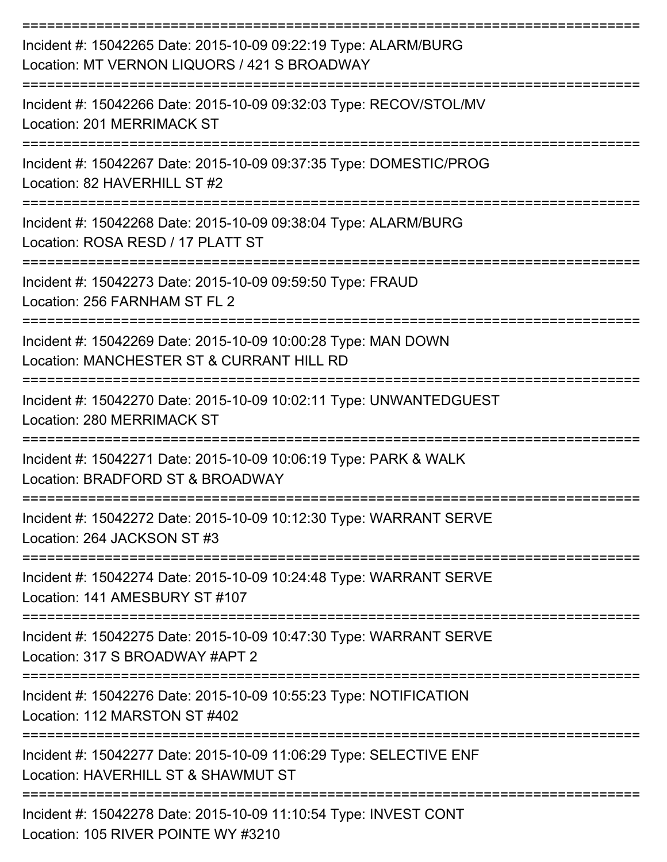| Incident #: 15042265 Date: 2015-10-09 09:22:19 Type: ALARM/BURG<br>Location: MT VERNON LIQUORS / 421 S BROADWAY              |
|------------------------------------------------------------------------------------------------------------------------------|
| Incident #: 15042266 Date: 2015-10-09 09:32:03 Type: RECOV/STOL/MV<br>Location: 201 MERRIMACK ST                             |
| Incident #: 15042267 Date: 2015-10-09 09:37:35 Type: DOMESTIC/PROG<br>Location: 82 HAVERHILL ST #2                           |
| Incident #: 15042268 Date: 2015-10-09 09:38:04 Type: ALARM/BURG<br>Location: ROSA RESD / 17 PLATT ST                         |
| Incident #: 15042273 Date: 2015-10-09 09:59:50 Type: FRAUD<br>Location: 256 FARNHAM ST FL 2                                  |
| Incident #: 15042269 Date: 2015-10-09 10:00:28 Type: MAN DOWN<br>Location: MANCHESTER ST & CURRANT HILL RD                   |
| Incident #: 15042270 Date: 2015-10-09 10:02:11 Type: UNWANTEDGUEST<br>Location: 280 MERRIMACK ST                             |
| ====================<br>Incident #: 15042271 Date: 2015-10-09 10:06:19 Type: PARK & WALK<br>Location: BRADFORD ST & BROADWAY |
| Incident #: 15042272 Date: 2015-10-09 10:12:30 Type: WARRANT SERVE<br>Location: 264 JACKSON ST #3                            |
| --------------<br>Incident #: 15042274 Date: 2015-10-09 10:24:48 Type: WARRANT SERVE<br>Location: 141 AMESBURY ST #107       |
| Incident #: 15042275 Date: 2015-10-09 10:47:30 Type: WARRANT SERVE<br>Location: 317 S BROADWAY #APT 2                        |
| Incident #: 15042276 Date: 2015-10-09 10:55:23 Type: NOTIFICATION<br>Location: 112 MARSTON ST #402                           |
| Incident #: 15042277 Date: 2015-10-09 11:06:29 Type: SELECTIVE ENF<br>Location: HAVERHILL ST & SHAWMUT ST                    |
| Incident #: 15042278 Date: 2015-10-09 11:10:54 Type: INVEST CONT<br>Location: 105 RIVER POINTE WY #3210                      |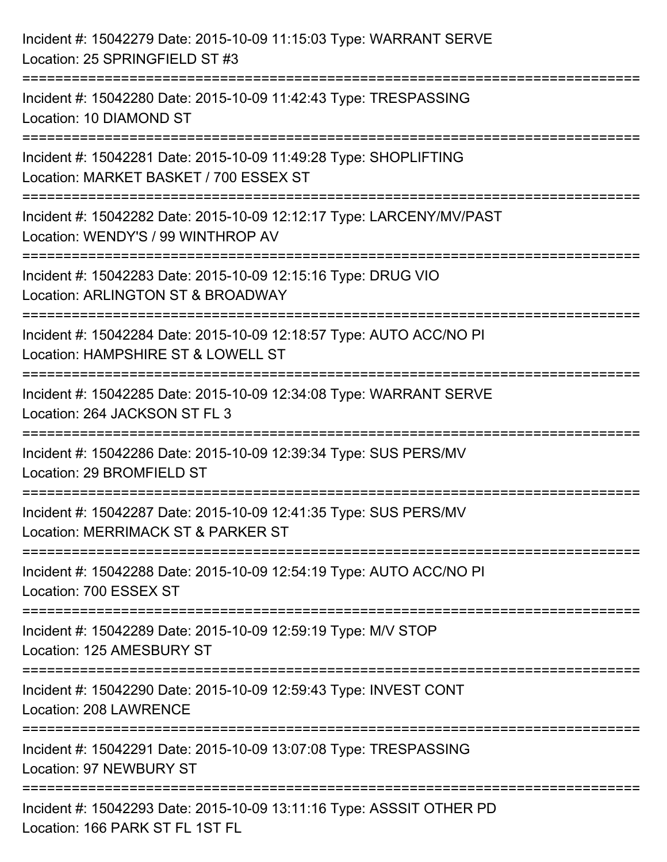| Incident #: 15042279 Date: 2015-10-09 11:15:03 Type: WARRANT SERVE<br>Location: 25 SPRINGFIELD ST #3                                           |
|------------------------------------------------------------------------------------------------------------------------------------------------|
| :===================================<br>Incident #: 15042280 Date: 2015-10-09 11:42:43 Type: TRESPASSING<br>Location: 10 DIAMOND ST            |
| Incident #: 15042281 Date: 2015-10-09 11:49:28 Type: SHOPLIFTING<br>Location: MARKET BASKET / 700 ESSEX ST<br>:=============================== |
| Incident #: 15042282 Date: 2015-10-09 12:12:17 Type: LARCENY/MV/PAST<br>Location: WENDY'S / 99 WINTHROP AV                                     |
| Incident #: 15042283 Date: 2015-10-09 12:15:16 Type: DRUG VIO<br>Location: ARLINGTON ST & BROADWAY<br>------------------------                 |
| Incident #: 15042284 Date: 2015-10-09 12:18:57 Type: AUTO ACC/NO PI<br>Location: HAMPSHIRE ST & LOWELL ST                                      |
| Incident #: 15042285 Date: 2015-10-09 12:34:08 Type: WARRANT SERVE<br>Location: 264 JACKSON ST FL 3<br>----------------<br>----------------    |
| :=============<br>Incident #: 15042286 Date: 2015-10-09 12:39:34 Type: SUS PERS/MV<br>Location: 29 BROMFIELD ST                                |
| Incident #: 15042287 Date: 2015-10-09 12:41:35 Type: SUS PERS/MV<br>Location: MERRIMACK ST & PARKER ST                                         |
| Incident #: 15042288 Date: 2015-10-09 12:54:19 Type: AUTO ACC/NO PI<br>Location: 700 ESSEX ST                                                  |
| Incident #: 15042289 Date: 2015-10-09 12:59:19 Type: M/V STOP<br>Location: 125 AMESBURY ST                                                     |
| Incident #: 15042290 Date: 2015-10-09 12:59:43 Type: INVEST CONT<br><b>Location: 208 LAWRENCE</b>                                              |
| Incident #: 15042291 Date: 2015-10-09 13:07:08 Type: TRESPASSING<br>Location: 97 NEWBURY ST                                                    |
| Incident #: 15042293 Date: 2015-10-09 13:11:16 Type: ASSSIT OTHER PD<br>Location: 166 PARK ST FL 1ST FL                                        |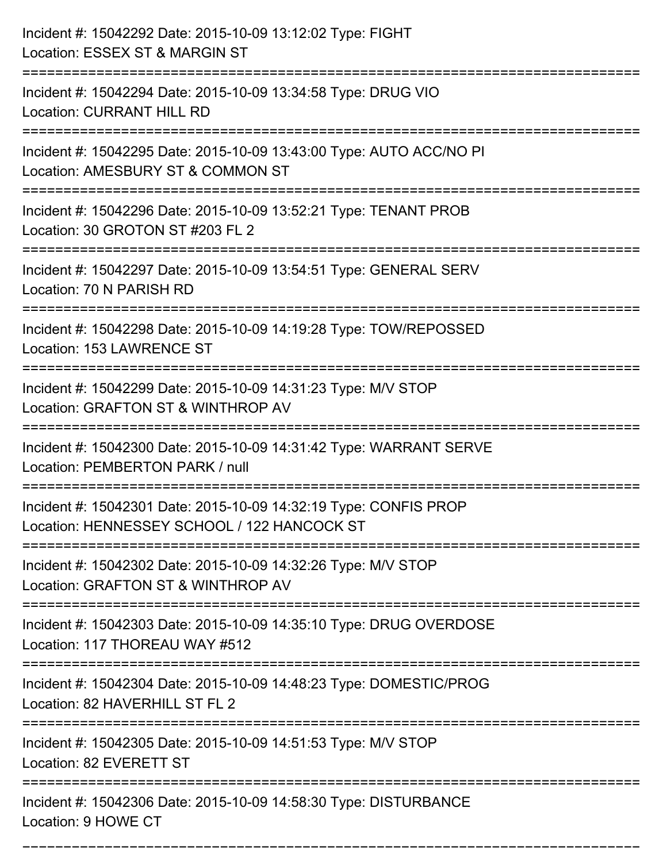| Incident #: 15042292 Date: 2015-10-09 13:12:02 Type: FIGHT<br>Location: ESSEX ST & MARGIN ST                                                    |
|-------------------------------------------------------------------------------------------------------------------------------------------------|
| Incident #: 15042294 Date: 2015-10-09 13:34:58 Type: DRUG VIO<br><b>Location: CURRANT HILL RD</b>                                               |
| Incident #: 15042295 Date: 2015-10-09 13:43:00 Type: AUTO ACC/NO PI<br>Location: AMESBURY ST & COMMON ST<br>:================================== |
| Incident #: 15042296 Date: 2015-10-09 13:52:21 Type: TENANT PROB<br>Location: 30 GROTON ST #203 FL 2                                            |
| Incident #: 15042297 Date: 2015-10-09 13:54:51 Type: GENERAL SERV<br>Location: 70 N PARISH RD                                                   |
| Incident #: 15042298 Date: 2015-10-09 14:19:28 Type: TOW/REPOSSED<br>Location: 153 LAWRENCE ST                                                  |
| Incident #: 15042299 Date: 2015-10-09 14:31:23 Type: M/V STOP<br>Location: GRAFTON ST & WINTHROP AV                                             |
| Incident #: 15042300 Date: 2015-10-09 14:31:42 Type: WARRANT SERVE<br>Location: PEMBERTON PARK / null                                           |
| Incident #: 15042301 Date: 2015-10-09 14:32:19 Type: CONFIS PROP<br>Location: HENNESSEY SCHOOL / 122 HANCOCK ST                                 |
| Incident #: 15042302 Date: 2015-10-09 14:32:26 Type: M/V STOP<br>Location: GRAFTON ST & WINTHROP AV                                             |
| Incident #: 15042303 Date: 2015-10-09 14:35:10 Type: DRUG OVERDOSE<br>Location: 117 THOREAU WAY #512                                            |
| Incident #: 15042304 Date: 2015-10-09 14:48:23 Type: DOMESTIC/PROG<br>Location: 82 HAVERHILL ST FL 2                                            |
| Incident #: 15042305 Date: 2015-10-09 14:51:53 Type: M/V STOP<br>Location: 82 EVERETT ST                                                        |
| Incident #: 15042306 Date: 2015-10-09 14:58:30 Type: DISTURBANCE<br>Location: 9 HOWE CT                                                         |

===========================================================================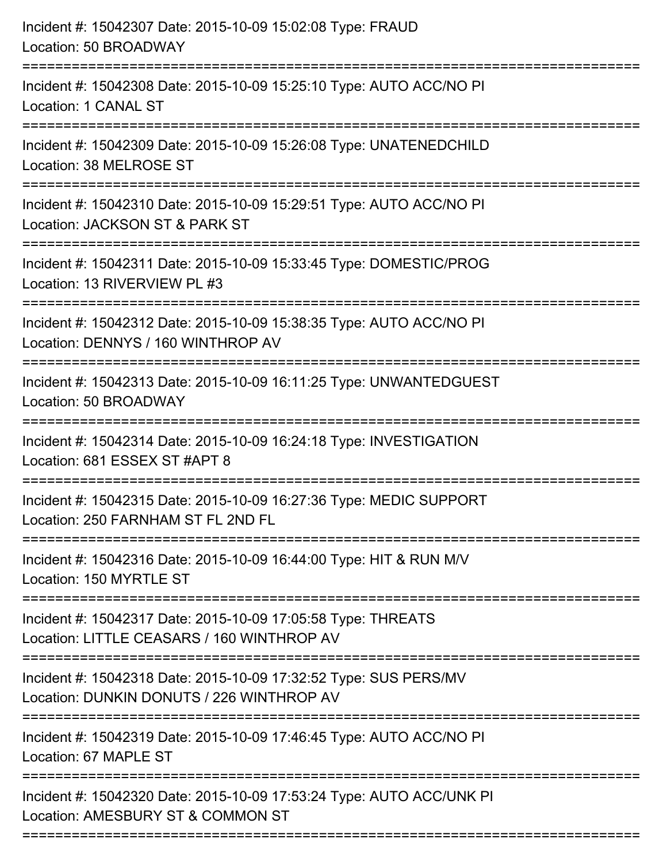| Incident #: 15042307 Date: 2015-10-09 15:02:08 Type: FRAUD<br>Location: 50 BROADWAY                                                                                       |
|---------------------------------------------------------------------------------------------------------------------------------------------------------------------------|
| Incident #: 15042308 Date: 2015-10-09 15:25:10 Type: AUTO ACC/NO PI<br>Location: 1 CANAL ST                                                                               |
| Incident #: 15042309 Date: 2015-10-09 15:26:08 Type: UNATENEDCHILD<br>Location: 38 MELROSE ST<br>========================                                                 |
| Incident #: 15042310 Date: 2015-10-09 15:29:51 Type: AUTO ACC/NO PI<br>Location: JACKSON ST & PARK ST                                                                     |
| Incident #: 15042311 Date: 2015-10-09 15:33:45 Type: DOMESTIC/PROG<br>Location: 13 RIVERVIEW PL #3<br>==================================<br>============================= |
| Incident #: 15042312 Date: 2015-10-09 15:38:35 Type: AUTO ACC/NO PI<br>Location: DENNYS / 160 WINTHROP AV<br>:================                                            |
| Incident #: 15042313 Date: 2015-10-09 16:11:25 Type: UNWANTEDGUEST<br>Location: 50 BROADWAY<br>==========================                                                 |
| Incident #: 15042314 Date: 2015-10-09 16:24:18 Type: INVESTIGATION<br>Location: 681 ESSEX ST #APT 8                                                                       |
| Incident #: 15042315 Date: 2015-10-09 16:27:36 Type: MEDIC SUPPORT<br>Location: 250 FARNHAM ST FL 2ND FL                                                                  |
| Incident #: 15042316 Date: 2015-10-09 16:44:00 Type: HIT & RUN M/V<br>Location: 150 MYRTLE ST                                                                             |
| Incident #: 15042317 Date: 2015-10-09 17:05:58 Type: THREATS<br>Location: LITTLE CEASARS / 160 WINTHROP AV                                                                |
| Incident #: 15042318 Date: 2015-10-09 17:32:52 Type: SUS PERS/MV<br>Location: DUNKIN DONUTS / 226 WINTHROP AV                                                             |
| Incident #: 15042319 Date: 2015-10-09 17:46:45 Type: AUTO ACC/NO PI<br>Location: 67 MAPLE ST                                                                              |
| Incident #: 15042320 Date: 2015-10-09 17:53:24 Type: AUTO ACC/UNK PI<br>Location: AMESBURY ST & COMMON ST                                                                 |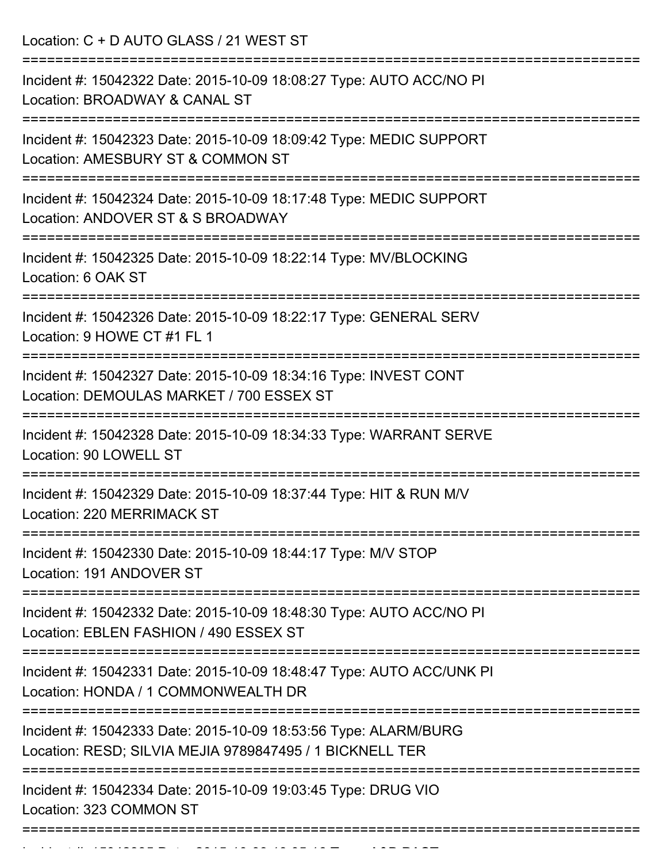Location: C + D AUTO GLASS / 21 WEST ST

| Incident #: 15042322 Date: 2015-10-09 18:08:27 Type: AUTO ACC/NO PI<br>Location: BROADWAY & CANAL ST                             |
|----------------------------------------------------------------------------------------------------------------------------------|
| Incident #: 15042323 Date: 2015-10-09 18:09:42 Type: MEDIC SUPPORT<br>Location: AMESBURY ST & COMMON ST                          |
| Incident #: 15042324 Date: 2015-10-09 18:17:48 Type: MEDIC SUPPORT<br>Location: ANDOVER ST & S BROADWAY                          |
| Incident #: 15042325 Date: 2015-10-09 18:22:14 Type: MV/BLOCKING<br>Location: 6 OAK ST                                           |
| Incident #: 15042326 Date: 2015-10-09 18:22:17 Type: GENERAL SERV<br>Location: 9 HOWE CT #1 FL 1                                 |
| Incident #: 15042327 Date: 2015-10-09 18:34:16 Type: INVEST CONT<br>Location: DEMOULAS MARKET / 700 ESSEX ST                     |
| Incident #: 15042328 Date: 2015-10-09 18:34:33 Type: WARRANT SERVE<br>Location: 90 LOWELL ST                                     |
| Incident #: 15042329 Date: 2015-10-09 18:37:44 Type: HIT & RUN M/V<br>Location: 220 MERRIMACK ST                                 |
| Incident #: 15042330 Date: 2015-10-09 18:44:17 Type: M/V STOP<br>Location: 191 ANDOVER ST                                        |
| ===============<br>Incident #: 15042332 Date: 2015-10-09 18:48:30 Type: AUTO ACC/NO PI<br>Location: EBLEN FASHION / 490 ESSEX ST |
| Incident #: 15042331 Date: 2015-10-09 18:48:47 Type: AUTO ACC/UNK PI<br>Location: HONDA / 1 COMMONWEALTH DR                      |
| Incident #: 15042333 Date: 2015-10-09 18:53:56 Type: ALARM/BURG<br>Location: RESD; SILVIA MEJIA 9789847495 / 1 BICKNELL TER      |
| Incident #: 15042334 Date: 2015-10-09 19:03:45 Type: DRUG VIO<br>Location: 323 COMMON ST                                         |
|                                                                                                                                  |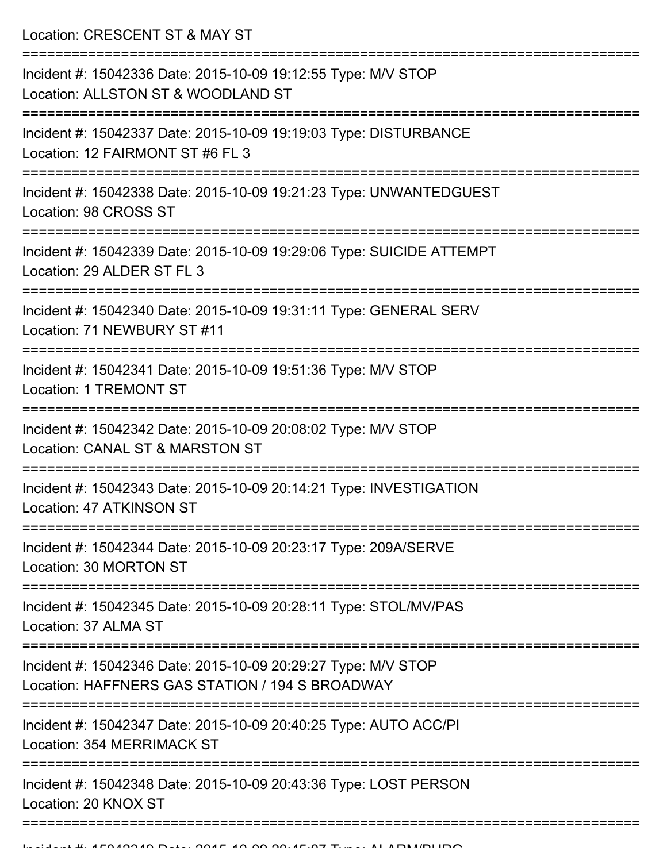Location: CRESCENT ST & MAY ST

| Incident #: 15042336 Date: 2015-10-09 19:12:55 Type: M/V STOP<br>Location: ALLSTON ST & WOODLAND ST              |
|------------------------------------------------------------------------------------------------------------------|
| Incident #: 15042337 Date: 2015-10-09 19:19:03 Type: DISTURBANCE<br>Location: 12 FAIRMONT ST #6 FL 3             |
| Incident #: 15042338 Date: 2015-10-09 19:21:23 Type: UNWANTEDGUEST<br>Location: 98 CROSS ST                      |
| Incident #: 15042339 Date: 2015-10-09 19:29:06 Type: SUICIDE ATTEMPT<br>Location: 29 ALDER ST FL 3               |
| Incident #: 15042340 Date: 2015-10-09 19:31:11 Type: GENERAL SERV<br>Location: 71 NEWBURY ST #11                 |
| Incident #: 15042341 Date: 2015-10-09 19:51:36 Type: M/V STOP<br><b>Location: 1 TREMONT ST</b>                   |
| Incident #: 15042342 Date: 2015-10-09 20:08:02 Type: M/V STOP<br>Location: CANAL ST & MARSTON ST                 |
| Incident #: 15042343 Date: 2015-10-09 20:14:21 Type: INVESTIGATION<br>Location: 47 ATKINSON ST                   |
| Incident #: 15042344 Date: 2015-10-09 20:23:17 Type: 209A/SERVE<br>Location: 30 MORTON ST                        |
| Incident #: 15042345 Date: 2015-10-09 20:28:11 Type: STOL/MV/PAS<br>Location: 37 ALMA ST                         |
| Incident #: 15042346 Date: 2015-10-09 20:29:27 Type: M/V STOP<br>Location: HAFFNERS GAS STATION / 194 S BROADWAY |
| Incident #: 15042347 Date: 2015-10-09 20:40:25 Type: AUTO ACC/PI<br><b>Location: 354 MERRIMACK ST</b>            |
| Incident #: 15042348 Date: 2015-10-09 20:43:36 Type: LOST PERSON<br>Location: 20 KNOX ST                         |
|                                                                                                                  |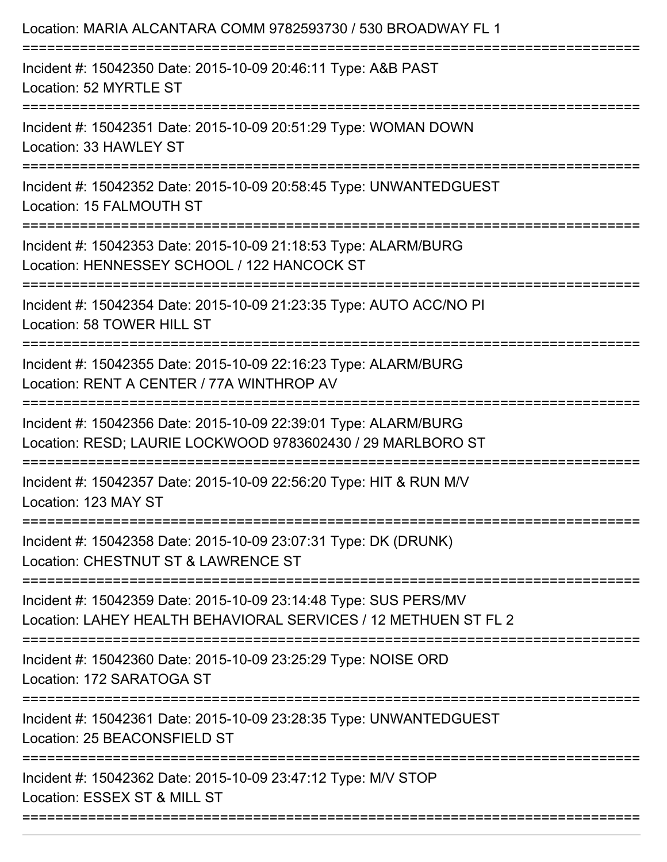| Location: MARIA ALCANTARA COMM 9782593730 / 530 BROADWAY FL 1                                                                       |
|-------------------------------------------------------------------------------------------------------------------------------------|
| Incident #: 15042350 Date: 2015-10-09 20:46:11 Type: A&B PAST<br>Location: 52 MYRTLE ST                                             |
| Incident #: 15042351 Date: 2015-10-09 20:51:29 Type: WOMAN DOWN<br>Location: 33 HAWLEY ST                                           |
| Incident #: 15042352 Date: 2015-10-09 20:58:45 Type: UNWANTEDGUEST<br>Location: 15 FALMOUTH ST                                      |
| Incident #: 15042353 Date: 2015-10-09 21:18:53 Type: ALARM/BURG<br>Location: HENNESSEY SCHOOL / 122 HANCOCK ST                      |
| Incident #: 15042354 Date: 2015-10-09 21:23:35 Type: AUTO ACC/NO PI<br>Location: 58 TOWER HILL ST                                   |
| Incident #: 15042355 Date: 2015-10-09 22:16:23 Type: ALARM/BURG<br>Location: RENT A CENTER / 77A WINTHROP AV                        |
| Incident #: 15042356 Date: 2015-10-09 22:39:01 Type: ALARM/BURG<br>Location: RESD; LAURIE LOCKWOOD 9783602430 / 29 MARLBORO ST      |
| Incident #: 15042357 Date: 2015-10-09 22:56:20 Type: HIT & RUN M/V<br>Location: 123 MAY ST                                          |
| Incident #: 15042358 Date: 2015-10-09 23:07:31 Type: DK (DRUNK)<br>Location: CHESTNUT ST & LAWRENCE ST                              |
| Incident #: 15042359 Date: 2015-10-09 23:14:48 Type: SUS PERS/MV<br>Location: LAHEY HEALTH BEHAVIORAL SERVICES / 12 METHUEN ST FL 2 |
| Incident #: 15042360 Date: 2015-10-09 23:25:29 Type: NOISE ORD<br>Location: 172 SARATOGA ST                                         |
| Incident #: 15042361 Date: 2015-10-09 23:28:35 Type: UNWANTEDGUEST<br>Location: 25 BEACONSFIELD ST                                  |
| Incident #: 15042362 Date: 2015-10-09 23:47:12 Type: M/V STOP<br>Location: ESSEX ST & MILL ST                                       |
|                                                                                                                                     |